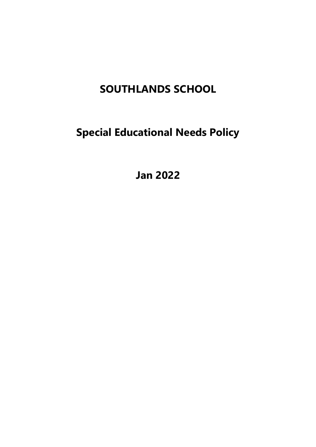# **SOUTHLANDS SCHOOL**

**Special Educational Needs Policy** 

**Jan 2022**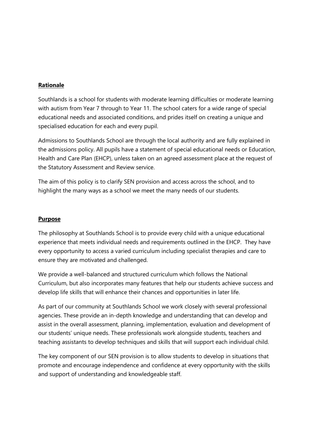### **Rationale**

Southlands is a school for students with moderate learning difficulties or moderate learning with autism from Year 7 through to Year 11. The school caters for a wide range of special educational needs and associated conditions, and prides itself on creating a unique and specialised education for each and every pupil.

Admissions to Southlands School are through the local authority and are fully explained in the admissions policy. All pupils have a statement of special educational needs or Education, Health and Care Plan (EHCP), unless taken on an agreed assessment place at the request of the Statutory Assessment and Review service.

The aim of this policy is to clarify SEN provision and access across the school, and to highlight the many ways as a school we meet the many needs of our students.

#### **Purpose**

The philosophy at Southlands School is to provide every child with a unique educational experience that meets individual needs and requirements outlined in the EHCP. They have every opportunity to access a varied curriculum including specialist therapies and care to ensure they are motivated and challenged.

We provide a well-balanced and structured curriculum which follows the National Curriculum, but also incorporates many features that help our students achieve success and develop life skills that will enhance their chances and opportunities in later life.

As part of our community at Southlands School we work closely with several professional agencies. These provide an in-depth knowledge and understanding that can develop and assist in the overall assessment, planning, implementation, evaluation and development of our students' unique needs. These professionals work alongside students, teachers and teaching assistants to develop techniques and skills that will support each individual child.

The key component of our SEN provision is to allow students to develop in situations that promote and encourage independence and confidence at every opportunity with the skills and support of understanding and knowledgeable staff.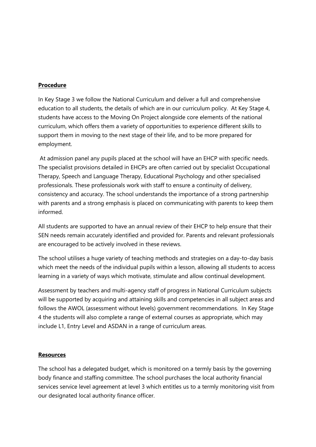## **Procedure**

In Key Stage 3 we follow the National Curriculum and deliver a full and comprehensive education to all students, the details of which are in our curriculum policy. At Key Stage 4, students have access to the Moving On Project alongside core elements of the national curriculum, which offers them a variety of opportunities to experience different skills to support them in moving to the next stage of their life, and to be more prepared for employment.

At admission panel any pupils placed at the school will have an EHCP with specific needs. The specialist provisions detailed in EHCPs are often carried out by specialist Occupational Therapy, Speech and Language Therapy, Educational Psychology and other specialised professionals. These professionals work with staff to ensure a continuity of delivery, consistency and accuracy. The school understands the importance of a strong partnership with parents and a strong emphasis is placed on communicating with parents to keep them informed.

All students are supported to have an annual review of their EHCP to help ensure that their SEN needs remain accurately identified and provided for. Parents and relevant professionals are encouraged to be actively involved in these reviews.

The school utilises a huge variety of teaching methods and strategies on a day-to-day basis which meet the needs of the individual pupils within a lesson, allowing all students to access learning in a variety of ways which motivate, stimulate and allow continual development.

Assessment by teachers and multi-agency staff of progress in National Curriculum subjects will be supported by acquiring and attaining skills and competencies in all subject areas and follows the AWOL (assessment without levels) government recommendations. In Key Stage 4 the students will also complete a range of external courses as appropriate, which may include L1, Entry Level and ASDAN in a range of curriculum areas.

#### **Resources**

The school has a delegated budget, which is monitored on a termly basis by the governing body finance and staffing committee. The school purchases the local authority financial services service level agreement at level 3 which entitles us to a termly monitoring visit from our designated local authority finance officer.